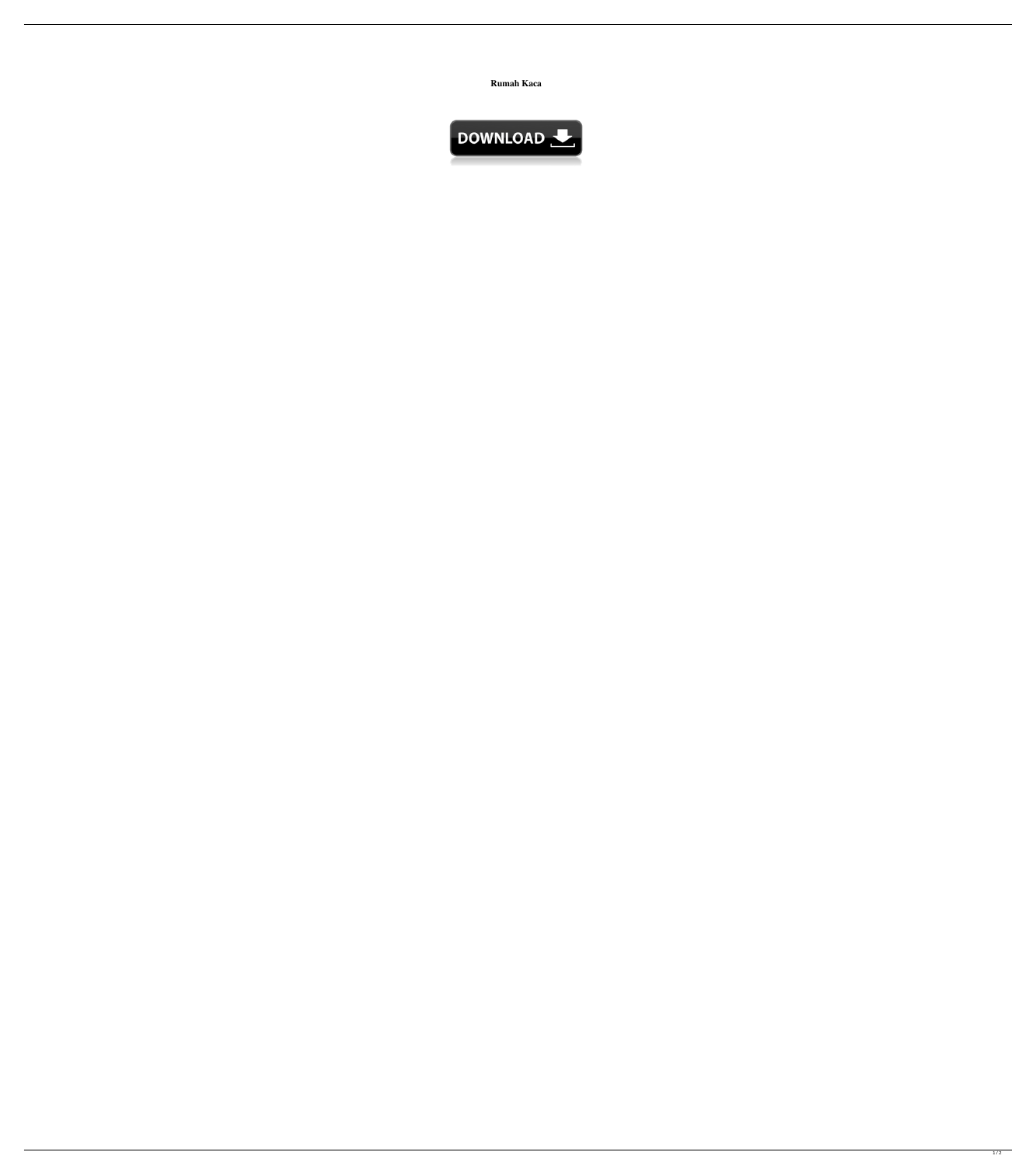## **Rumah Kaca**